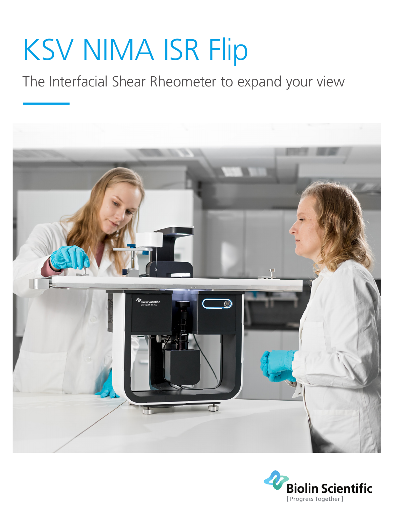# KSV NIMA ISR Flip

The Interfacial Shear Rheometer to expand your view



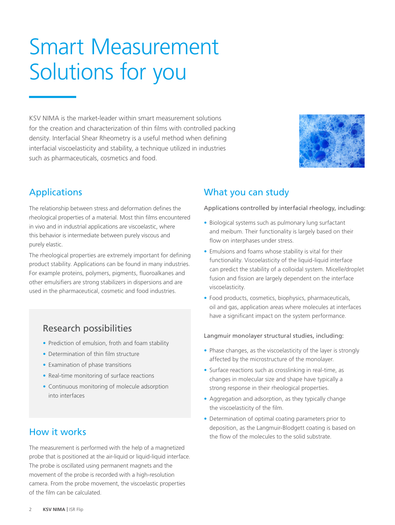## Smart Measurement Solutions for you

KSV NIMA is the market-leader within smart measurement solutions for the creation and characterization of thin films with controlled packing density. Interfacial Shear Rheometry is a useful method when defining interfacial viscoelasticity and stability, a technique utilized in industries such as pharmaceuticals, cosmetics and food.



## Applications

The relationship between stress and deformation defines the rheological properties of a material. Most thin films encountered in vivo and in industrial applications are viscoelastic, where this behavior is intermediate between purely viscous and purely elastic.

The rheological properties are extremely important for defining product stability. Applications can be found in many industries. For example proteins, polymers, pigments, fluoroalkanes and other emulsifiers are strong stabilizers in dispersions and are used in the pharmaceutical, cosmetic and food industries.

### Research possibilities

- **•** Prediction of emulsion, froth and foam stability
- **•** Determination of thin film structure
- **•** Examination of phase transitions
- **•** Real-time monitoring of surface reactions
- **•** Continuous monitoring of molecule adsorption into interfaces

## How it works

The measurement is performed with the help of a magnetized probe that is positioned at the air-liquid or liquid-liquid interface. The probe is oscillated using permanent magnets and the movement of the probe is recorded with a high-resolution camera. From the probe movement, the viscoelastic properties of the film can be calculated.

## What you can study

Applications controlled by interfacial rheology, including:

- **•** Biological systems such as pulmonary lung surfactant and meibum. Their functionality is largely based on their flow on interphases under stress.
- **•** Emulsions and foams whose stability is vital for their functionality. Viscoelasticity of the liquid-liquid interface can predict the stability of a colloidal system. Micelle/droplet fusion and fission are largely dependent on the interface viscoelasticity.
- **•** Food products, cosmetics, biophysics, pharmaceuticals, oil and gas, application areas where molecules at interfaces have a significant impact on the system performance.

#### Langmuir monolayer structural studies, including:

- **•** Phase changes, as the viscoelasticity of the layer is strongly affected by the microstructure of the monolayer.
- **•** Surface reactions such as crosslinking in real-time, as changes in molecular size and shape have typically a strong response in their rheological properties.
- **•** Aggregation and adsorption, as they typically change the viscoelasticity of the film.
- **•** Determination of optimal coating parameters prior to deposition, as the Langmuir-Blodgett coating is based on the flow of the molecules to the solid substrate.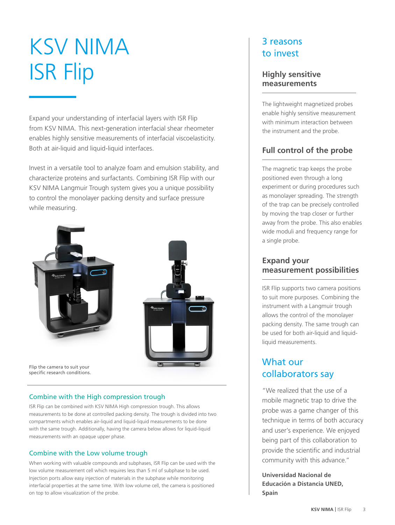## KSV NIMA ISR Flip

Expand your understanding of interfacial layers with ISR Flip from KSV NIMA. This next-generation interfacial shear rheometer enables highly sensitive measurements of interfacial viscoelasticity. Both at air-liquid and liquid-liquid interfaces.

Invest in a versatile tool to analyze foam and emulsion stability, and characterize proteins and surfactants. Combining ISR Flip with our KSV NIMA Langmuir Trough system gives you a unique possibility to control the monolayer packing density and surface pressure while measuring.



#### Combine with the High compression trough

ISR Flip can be combined with KSV NIMA High compression trough. This allows measurements to be done at controlled packing density. The trough is divided into two compartments which enables air-liquid and liquid-liquid measurements to be done with the same trough. Additionally, having the camera below allows for liquid-liquid measurements with an opaque upper phase.

#### Combine with the Low volume trough

When working with valuable compounds and subphases, ISR Flip can be used with the low volume measurement cell which requires less than 5 ml of subphase to be used. Injection ports allow easy injection of materials in the subphase while monitoring interfacial properties at the same time. With low volume cell, the camera is positioned on top to allow visualization of the probe.

## 3 reasons to invest

#### **Highly sensitive measurements**

The lightweight magnetized probes enable highly sensitive measurement with minimum interaction between the instrument and the probe.

### **Full control of the probe**

The magnetic trap keeps the probe positioned even through a long experiment or during procedures such as monolayer spreading. The strength of the trap can be precisely controlled by moving the trap closer or further away from the probe. This also enables wide moduli and frequency range for a single probe.

#### **Expand your measurement possibilities**

ISR Flip supports two camera positions to suit more purposes. Combining the instrument with a Langmuir trough allows the control of the monolayer packing density. The same trough can be used for both air-liquid and liquidliquid measurements.

## What our collaborators say

"We realized that the use of a mobile magnetic trap to drive the probe was a game changer of this technique in terms of both accuracy and user's experience. We enjoyed being part of this collaboration to provide the scientific and industrial community with this advance."

**Universidad Nacional de Educación a Distancia UNED, Spain**